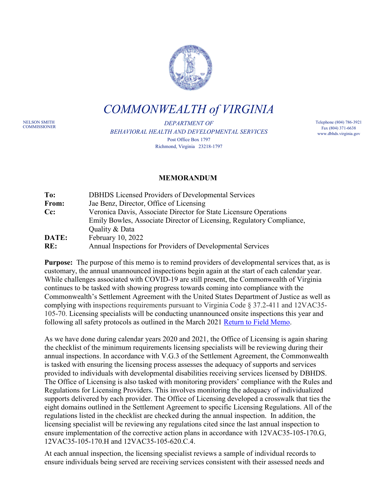

*COMMONWEALTH of VIRGINIA*

NELSON SMITH<br>COMMISSIONER

DEPARTMENT OF *BEHAVIORAL HEALTH AND DEVELOPMENTAL SERVICES* Post Office Box 1797 Richmond, Virginia 23218-1797

Telephone (804) 786-3921 Fax (804) 371-6638 www.dbhds.virginia.gov

## **MEMORANDUM**

| To:   | DBHDS Licensed Providers of Developmental Services                    |
|-------|-----------------------------------------------------------------------|
| From: | Jae Benz, Director, Office of Licensing                               |
| Cc:   | Veronica Davis, Associate Director for State Licensure Operations     |
|       | Emily Bowles, Associate Director of Licensing, Regulatory Compliance, |
|       | Quality & Data                                                        |
| DATE: | February 10, 2022                                                     |
| RE:   | Annual Inspections for Providers of Developmental Services            |

**Purpose:** The purpose of this memo is to remind providers of developmental services that, as is customary, the annual unannounced inspections begin again at the start of each calendar year. While challenges associated with COVID-19 are still present, the Commonwealth of Virginia continues to be tasked with showing progress towards coming into compliance with the Commonwealth's Settlement Agreement with the United States Department of Justice as well as complying with inspections requirements pursuant to Virginia Code § 37.2-411 and 12VAC35- 105-70. Licensing specialists will be conducting unannounced onsite inspections this year and following all safety protocols as outlined in the March 2021 [Return to Field Memo.](https://dbhds.virginia.gov/assets/doc/QMD/OL/return-to-field-operations-(march-2021).pdf)

As we have done during calendar years 2020 and 2021, the Office of Licensing is again sharing the checklist of the minimum requirements licensing specialists will be reviewing during their annual inspections. In accordance with V.G.3 of the Settlement Agreement, the Commonwealth is tasked with ensuring the licensing process assesses the adequacy of supports and services provided to individuals with developmental disabilities receiving services licensed by DBHDS. The Office of Licensing is also tasked with monitoring providers' compliance with the Rules and Regulations for Licensing Providers. This involves monitoring the adequacy of individualized supports delivered by each provider. The Office of Licensing developed a crosswalk that ties the eight domains outlined in the Settlement Agreement to specific Licensing Regulations. All of the regulations listed in the checklist are checked during the annual inspection. In addition, the licensing specialist will be reviewing any regulations cited since the last annual inspection to ensure implementation of the corrective action plans in accordance with 12VAC35-105-170.G, 12VAC35-105-170.H and 12VAC35-105-620.C.4.

At each annual inspection, the licensing specialist reviews a sample of individual records to ensure individuals being served are receiving services consistent with their assessed needs and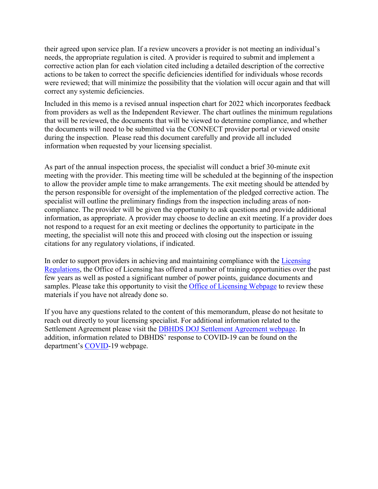their agreed upon service plan. If a review uncovers a provider is not meeting an individual's needs, the appropriate regulation is cited. A provider is required to submit and implement a corrective action plan for each violation cited including a detailed description of the corrective actions to be taken to correct the specific deficiencies identified for individuals whose records were reviewed; that will minimize the possibility that the violation will occur again and that will correct any systemic deficiencies.

Included in this memo is a revised annual inspection chart for 2022 which incorporates feedback from providers as well as the Independent Reviewer. The chart outlines the minimum regulations that will be reviewed, the documents that will be viewed to determine compliance, and whether the documents will need to be submitted via the CONNECT provider portal or viewed onsite during the inspection. Please read this document carefully and provide all included information when requested by your licensing specialist.

As part of the annual inspection process, the specialist will conduct a brief 30-minute exit meeting with the provider. This meeting time will be scheduled at the beginning of the inspection to allow the provider ample time to make arrangements. The exit meeting should be attended by the person responsible for oversight of the implementation of the pledged corrective action. The specialist will outline the preliminary findings from the inspection including areas of noncompliance. The provider will be given the opportunity to ask questions and provide additional information, as appropriate. A provider may choose to decline an exit meeting. If a provider does not respond to a request for an exit meeting or declines the opportunity to participate in the meeting, the specialist will note this and proceed with closing out the inspection or issuing citations for any regulatory violations, if indicated.

In order to support providers in achieving and maintaining compliance with the [Licensing](https://law.lis.virginia.gov/admincode/title12/agency35/chapter105/)  [Regulations,](https://law.lis.virginia.gov/admincode/title12/agency35/chapter105/) the Office of Licensing has offered a number of training opportunities over the past few years as well as posted a significant number of power points, guidance documents and samples. Please take this opportunity to visit the [Office of Licensing Webpage](https://dbhds.virginia.gov/quality-management/office-of-licensing/) to review these materials if you have not already done so.

If you have any questions related to the content of this memorandum, please do not hesitate to reach out directly to your licensing specialist. For additional information related to the Settlement Agreement please visit the [DBHDS DOJ Settlement Agreement webpage.](http://www.dbhds.virginia.gov/doj-settlement-agreement) In addition, information related to DBHDS' response to COVID-19 can be found on the department's [COVID-](http://www.dbhds.virginia.gov/covid19)19 webpage.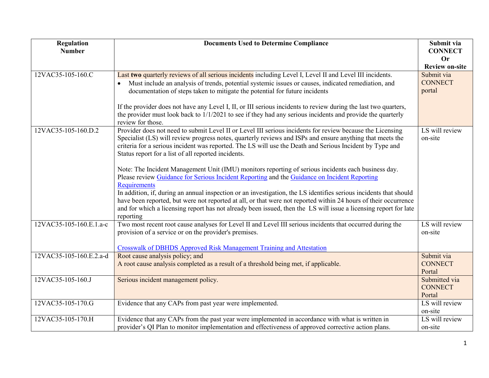| <b>Regulation</b>       | <b>Documents Used to Determine Compliance</b>                                                                     | Submit via                  |
|-------------------------|-------------------------------------------------------------------------------------------------------------------|-----------------------------|
| <b>Number</b>           |                                                                                                                   | <b>CONNECT</b>              |
|                         |                                                                                                                   | <b>Or</b>                   |
|                         |                                                                                                                   | <b>Review on-site</b>       |
| 12VAC35-105-160.C       | Last two quarterly reviews of all serious incidents including Level I, Level II and Level III incidents.          | Submit via                  |
|                         | Must include an analysis of trends, potential systemic issues or causes, indicated remediation, and               | <b>CONNECT</b>              |
|                         | documentation of steps taken to mitigate the potential for future incidents                                       | portal                      |
|                         | If the provider does not have any Level I, II, or III serious incidents to review during the last two quarters,   |                             |
|                         | the provider must look back to 1/1/2021 to see if they had any serious incidents and provide the quarterly        |                             |
|                         | review for those.                                                                                                 |                             |
| 12VAC35-105-160.D.2     | Provider does not need to submit Level II or Level III serious incidents for review because the Licensing         | $\overline{LS}$ will review |
|                         | Specialist (LS) will review progress notes, quarterly reviews and ISPs and ensure anything that meets the         | on-site                     |
|                         | criteria for a serious incident was reported. The LS will use the Death and Serious Incident by Type and          |                             |
|                         | Status report for a list of all reported incidents.                                                               |                             |
|                         | Note: The Incident Management Unit (IMU) monitors reporting of serious incidents each business day.               |                             |
|                         | Please review Guidance for Serious Incident Reporting and the Guidance on Incident Reporting                      |                             |
|                         | <b>Requirements</b>                                                                                               |                             |
|                         | In addition, if, during an annual inspection or an investigation, the LS identifies serious incidents that should |                             |
|                         | have been reported, but were not reported at all, or that were not reported within 24 hours of their occurrence   |                             |
|                         | and for which a licensing report has not already been issued, then the LS will issue a licensing report for late  |                             |
|                         | reporting                                                                                                         |                             |
| 12VAC35-105-160.E.1.a-c | Two most recent root cause analyses for Level II and Level III serious incidents that occurred during the         | LS will review              |
|                         | provision of a service or on the provider's premises.                                                             | on-site                     |
|                         | <b>Crosswalk of DBHDS Approved Risk Management Training and Attestation</b>                                       |                             |
| 12VAC35-105-160.E.2.a-d | Root cause analysis policy; and                                                                                   | Submit via                  |
|                         | A root cause analysis completed as a result of a threshold being met, if applicable.                              | <b>CONNECT</b>              |
|                         |                                                                                                                   | Portal                      |
| 12VAC35-105-160.J       | Serious incident management policy.                                                                               | Submitted via               |
|                         |                                                                                                                   | <b>CONNECT</b>              |
|                         |                                                                                                                   | Portal                      |
| 12VAC35-105-170.G       | Evidence that any CAPs from past year were implemented.                                                           | LS will review              |
|                         |                                                                                                                   | on-site                     |
| 12VAC35-105-170.H       | Evidence that any CAPs from the past year were implemented in accordance with what is written in                  | LS will review              |
|                         | provider's QI Plan to monitor implementation and effectiveness of approved corrective action plans.               | on-site                     |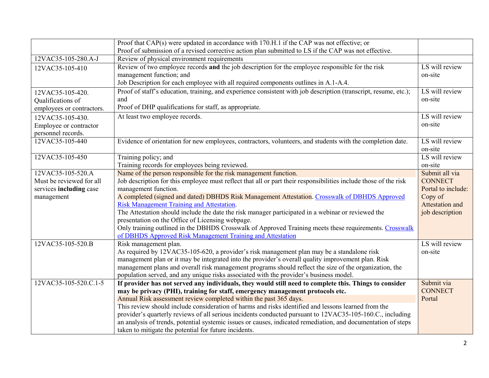| Proof that CAP(s) were updated in accordance with 170.H.1 if the CAP was not effective; or                                                         |                              |
|----------------------------------------------------------------------------------------------------------------------------------------------------|------------------------------|
| Proof of submission of a revised corrective action plan submitted to LS if the CAP was not effective.                                              |                              |
| 12VAC35-105-280.A-J<br>Review of physical environment requirements                                                                                 |                              |
| Review of two employee records and the job description for the employee responsible for the risk<br>12VAC35-105-410                                | LS will review               |
| management function; and                                                                                                                           | on-site                      |
| Job Description for each employee with all required components outlines in A.1-A.4.                                                                |                              |
| Proof of staff's education, training, and experience consistent with job description (transcript, resume, etc.);<br>12VAC35-105-420.               | LS will review               |
| and<br>Qualifications of                                                                                                                           | on-site                      |
| Proof of DHP qualifications for staff, as appropriate.<br>employees or contractors.                                                                |                              |
| At least two employee records.<br>12VAC35-105-430.                                                                                                 | LS will review               |
| Employee or contractor                                                                                                                             | on-site                      |
| personnel records.                                                                                                                                 |                              |
| 12VAC35-105-440<br>Evidence of orientation for new employees, contractors, volunteers, and students with the completion date.                      | LS will review               |
|                                                                                                                                                    | on-site                      |
| 12VAC35-105-450<br>Training policy; and                                                                                                            | LS will review               |
| Training records for employees being reviewed.                                                                                                     | on-site                      |
| Name of the person responsible for the risk management function.<br>12VAC35-105-520.A                                                              | Submit all via               |
| Job description for this employee must reflect that all or part their responsibilities include those of the risk<br>Must be reviewed for all       | <b>CONNECT</b>               |
| services including case<br>management function.                                                                                                    | Portal to include:           |
| A completed (signed and dated) DBHDS Risk Management Attestation. Crosswalk of DBHDS Approved<br>management                                        | Copy of                      |
| <b>Risk Management Training and Attestation.</b>                                                                                                   | Attestation and              |
| The Attestation should include the date the risk manager participated in a webinar or reviewed the                                                 | job description              |
| presentation on the Office of Licensing webpage.                                                                                                   |                              |
| Only training outlined in the DBHDS Crosswalk of Approved Training meets these requirements. Crosswalk                                             |                              |
| of DBHDS Approved Risk Management Training and Attestation                                                                                         |                              |
| 12VAC35-105-520.B<br>Risk management plan.                                                                                                         | LS will review               |
| As required by 12VAC35-105-620, a provider's risk management plan may be a standalone risk                                                         | on-site                      |
| management plan or it may be integrated into the provider's overall quality improvement plan. Risk                                                 |                              |
| management plans and overall risk management programs should reflect the size of the organization, the                                             |                              |
| population served, and any unique risks associated with the provider's business model.<br>12VAC35-105-520.C.1-5                                    |                              |
| If provider has not served any individuals, they would still need to complete this. Things to consider                                             | Submit via<br><b>CONNECT</b> |
| may be privacy (PHI), training for staff, emergency management protocols etc.<br>Annual Risk assessment review completed within the past 365 days. | Portal                       |
| This review should include consideration of harms and risks identified and lessons learned from the                                                |                              |
| provider's quarterly reviews of all serious incidents conducted pursuant to 12VAC35-105-160.C., including                                          |                              |
|                                                                                                                                                    |                              |
| an analysis of trends, potential systemic issues or causes, indicated remediation, and documentation of steps                                      |                              |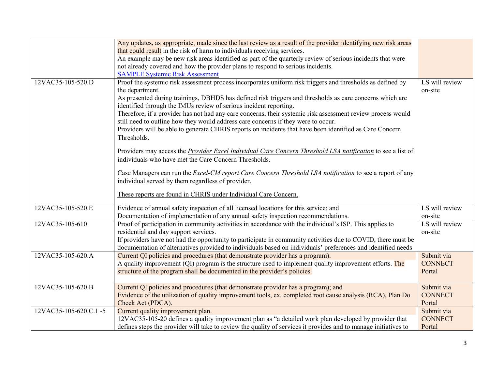|                       | Any updates, as appropriate, made since the last review as a result of the provider identifying new risk areas<br>that could result in the risk of harm to individuals receiving services.<br>An example may be new risk areas identified as part of the quarterly review of serious incidents that were<br>not already covered and how the provider plans to respond to serious incidents.                                                                                                                                                                                                                                                                                            |                                        |
|-----------------------|----------------------------------------------------------------------------------------------------------------------------------------------------------------------------------------------------------------------------------------------------------------------------------------------------------------------------------------------------------------------------------------------------------------------------------------------------------------------------------------------------------------------------------------------------------------------------------------------------------------------------------------------------------------------------------------|----------------------------------------|
| 12VAC35-105-520.D     | <b>SAMPLE Systemic Risk Assessment</b><br>Proof the systemic risk assessment process incorporates uniform risk triggers and thresholds as defined by<br>the department.<br>As presented during trainings, DBHDS has defined risk triggers and thresholds as care concerns which are<br>identified through the IMUs review of serious incident reporting.<br>Therefore, if a provider has not had any care concerns, their systemic risk assessment review process would<br>still need to outline how they would address care concerns if they were to occur.<br>Providers will be able to generate CHRIS reports on incidents that have been identified as Care Concern<br>Thresholds. | LS will review<br>on-site              |
|                       | Providers may access the <i>Provider Excel Individual Care Concern Threshold LSA notification</i> to see a list of<br>individuals who have met the Care Concern Thresholds.<br>Case Managers can run the <i>Excel-CM report Care Concern Threshold LSA notification</i> to see a report of any<br>individual served by them regardless of provider.<br>These reports are found in CHRIS under Individual Care Concern.                                                                                                                                                                                                                                                                 |                                        |
| 12VAC35-105-520.E     | Evidence of annual safety inspection of all licensed locations for this service; and<br>Documentation of implementation of any annual safety inspection recommendations.                                                                                                                                                                                                                                                                                                                                                                                                                                                                                                               | LS will review<br>on-site              |
| 12VAC35-105-610       | Proof of participation in community activities in accordance with the individual's ISP. This applies to<br>residential and day support services.<br>If providers have not had the opportunity to participate in community activities due to COVID, there must be<br>documentation of alternatives provided to individuals based on individuals' preferences and identified needs                                                                                                                                                                                                                                                                                                       | LS will review<br>on-site              |
| 12VAC35-105-620.A     | Current QI policies and procedures (that demonstrate provider has a program).<br>A quality improvement (QI) program is the structure used to implement quality improvement efforts. The<br>structure of the program shall be documented in the provider's policies.                                                                                                                                                                                                                                                                                                                                                                                                                    | Submit via<br><b>CONNECT</b><br>Portal |
| 12VAC35-105-620.B     | Current QI policies and procedures (that demonstrate provider has a program); and<br>Evidence of the utilization of quality improvement tools, ex. completed root cause analysis (RCA), Plan Do<br>Check Act (PDCA).                                                                                                                                                                                                                                                                                                                                                                                                                                                                   | Submit via<br><b>CONNECT</b><br>Portal |
| 12VAC35-105-620.C.1-5 | Current quality improvement plan.<br>12VAC35-105-20 defines a quality improvement plan as "a detailed work plan developed by provider that<br>defines steps the provider will take to review the quality of services it provides and to manage initiatives to                                                                                                                                                                                                                                                                                                                                                                                                                          | Submit via<br><b>CONNECT</b><br>Portal |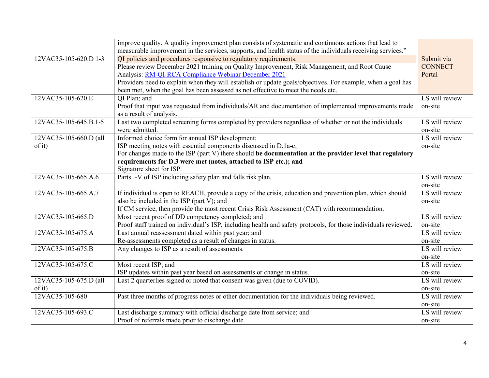|                        | improve quality. A quality improvement plan consists of systematic and continuous actions that lead to<br>measurable improvement in the services, supports, and health status of the individuals receiving services." |                |
|------------------------|-----------------------------------------------------------------------------------------------------------------------------------------------------------------------------------------------------------------------|----------------|
| 12VAC35-105-620.D 1-3  | QI policies and procedures responsive to regulatory requirements.                                                                                                                                                     | Submit via     |
|                        | Please review December 2021 training on Quality Improvement, Risk Management, and Root Cause                                                                                                                          | <b>CONNECT</b> |
|                        |                                                                                                                                                                                                                       |                |
|                        | Analysis: RM-QI-RCA Compliance Webinar December 2021                                                                                                                                                                  | Portal         |
|                        | Providers need to explain when they will establish or update goals/objectives. For example, when a goal has                                                                                                           |                |
|                        | been met, when the goal has been assessed as not effective to meet the needs etc.                                                                                                                                     |                |
| 12VAC35-105-620.E      | QI Plan; and                                                                                                                                                                                                          | LS will review |
|                        | Proof that input was requested from individuals/AR and documentation of implemented improvements made                                                                                                                 | on-site        |
|                        | as a result of analysis.                                                                                                                                                                                              |                |
| 12VAC35-105-645.B.1-5  | Last two completed screening forms completed by providers regardless of whether or not the individuals                                                                                                                | LS will review |
|                        | were admitted.                                                                                                                                                                                                        | on-site        |
| 12VAC35-105-660.D (all | Informed choice form for annual ISP development;                                                                                                                                                                      | LS will review |
| of it)                 | ISP meeting notes with essential components discussed in D.1a-c;                                                                                                                                                      | on-site        |
|                        | For changes made to the ISP (part V) there should be documentation at the provider level that regulatory                                                                                                              |                |
|                        | requirements for D.3 were met (notes, attached to ISP etc.); and                                                                                                                                                      |                |
|                        | Signature sheet for ISP.                                                                                                                                                                                              |                |
| 12VAC35-105-665.A.6    | Parts I-V of ISP including safety plan and falls risk plan.                                                                                                                                                           | LS will review |
|                        |                                                                                                                                                                                                                       | on-site        |
| 12VAC35-105-665.A.7    | If individual is open to REACH, provide a copy of the crisis, education and prevention plan, which should                                                                                                             | LS will review |
|                        | also be included in the ISP (part V); and                                                                                                                                                                             | on-site        |
|                        | If CM service, then provide the most recent Crisis Risk Assessment (CAT) with recommendation.                                                                                                                         |                |
| 12VAC35-105-665.D      | Most recent proof of DD competency completed; and                                                                                                                                                                     | LS will review |
|                        | Proof staff trained on individual's ISP, including health and safety protocols, for those individuals reviewed.                                                                                                       | on-site        |
| 12VAC35-105-675.A      | Last annual reassessment dated within past year; and                                                                                                                                                                  | LS will review |
|                        | Re-assessments completed as a result of changes in status.                                                                                                                                                            | on-site        |
| 12VAC35-105-675.B      | Any changes to ISP as a result of assessments.                                                                                                                                                                        | LS will review |
|                        |                                                                                                                                                                                                                       | on-site        |
| 12VAC35-105-675.C      | Most recent ISP; and                                                                                                                                                                                                  | LS will review |
|                        | ISP updates within past year based on assessments or change in status.                                                                                                                                                | on-site        |
| 12VAC35-105-675.D (all | Last 2 quarterlies signed or noted that consent was given (due to COVID).                                                                                                                                             | LS will review |
| of it)                 |                                                                                                                                                                                                                       | on-site        |
| 12VAC35-105-680        | Past three months of progress notes or other documentation for the individuals being reviewed.                                                                                                                        | LS will review |
|                        |                                                                                                                                                                                                                       | on-site        |
| 12VAC35-105-693.C      | Last discharge summary with official discharge date from service; and                                                                                                                                                 | LS will review |
|                        | Proof of referrals made prior to discharge date.                                                                                                                                                                      | on-site        |